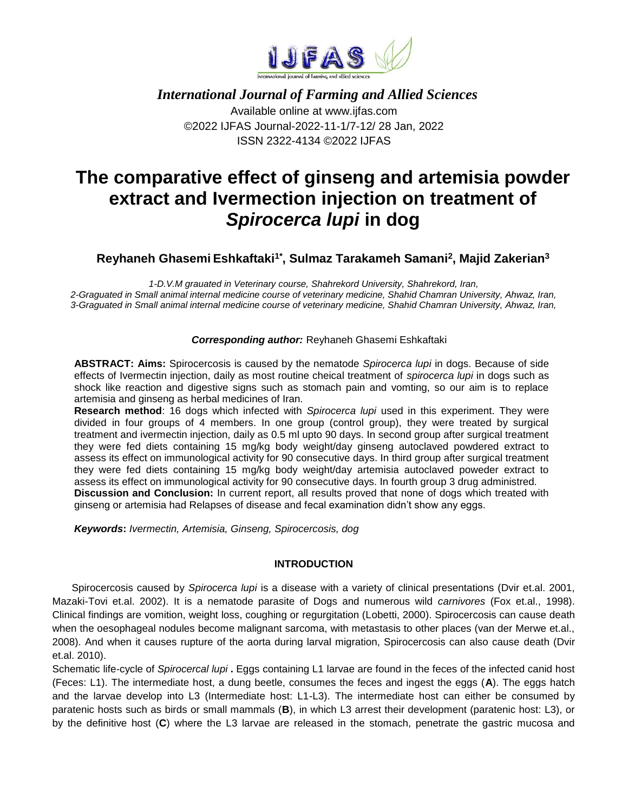

# *International Journal of Farming and Allied Sciences* Available online at www.ijfas.com

©2022 IJFAS Journal-2022-11-1/7-12/ 28 Jan, 2022 ISSN 2322-4134 ©2022 IJFAS

# **The comparative effect of ginseng and artemisia powder extract and Ivermection injection on treatment of**  *Spirocerca lupi* **in dog**

# **Reyhaneh Ghasemi Eshkaftaki1\*, Sulmaz Tarakameh Samani<sup>2</sup> , Majid Zakerian<sup>3</sup>**

*1-D.V.M grauated in Veterinary course, Shahrekord University, Shahrekord, Iran, 2-Graguated in Small animal internal medicine course of veterinary medicine, Shahid Chamran University, Ahwaz, Iran, 3-Graguated in Small animal internal medicine course of veterinary medicine, Shahid Chamran University, Ahwaz, Iran,* 

## *Corresponding author:* Reyhaneh Ghasemi Eshkaftaki

**ABSTRACT: Aims:** Spirocercosis is caused by the nematode *Spirocerca lupi* in dogs. Because of side effects of Ivermectin injection, daily as most routine cheical treatment of *spirocerca lupi* in dogs such as shock like reaction and digestive signs such as stomach pain and vomting, so our aim is to replace artemisia and ginseng as herbal medicines of Iran.

**Research method**: 16 dogs which infected with *Spirocerca lupi* used in this experiment. They were divided in four groups of 4 members. In one group (control group), they were treated by surgical treatment and ivermectin injection, daily as 0.5 ml upto 90 days. In second group after surgical treatment they were fed diets containing 15 mg/kg body weight/day ginseng autoclaved powdered extract to assess its effect on immunological activity for 90 consecutive days. In third group after surgical treatment they were fed diets containing 15 mg/kg body weight/day artemisia autoclaved poweder extract to assess its effect on immunological activity for 90 consecutive days. In fourth group 3 drug administred. **Discussion and Conclusion:** In current report, all results proved that none of dogs which treated with ginseng or artemisia had Relapses of disease and fecal examination didn't show any eggs.

*Keywords***:** *Ivermectin, Artemisia, Ginseng, Spirocercosis, dog*

## **INTRODUCTION**

Spirocercosis caused by *Spirocerca lupi* is a disease with a variety of clinical presentations (Dvir et.al. 2001, Mazaki-Tovi et.al. 2002). It is a nematode parasite of Dogs and numerous wild *carnivores* (Fox et.al., 1998). Clinical findings are vomition, weight loss, coughing or regurgitation (Lobetti, 2000). Spirocercosis can cause death when the oesophageal nodules become malignant sarcoma, with metastasis to other places (van der Merwe et.al., 2008). And when it causes rupture of the aorta during larval migration, Spirocercosis can also cause death (Dvir et.al. 2010).

Schematic life-cycle of *Spirocercal lupi* **.** Eggs containing L1 larvae are found in the feces of the infected canid host (Feces: L1). The intermediate host, a dung beetle, consumes the feces and ingest the eggs (**A**). The eggs hatch and the larvae develop into L3 (Intermediate host: L1-L3). The intermediate host can either be consumed by paratenic hosts such as birds or small mammals (**B**), in which L3 arrest their development (paratenic host: L3), or by the definitive host (**C**) where the L3 larvae are released in the stomach, penetrate the gastric mucosa and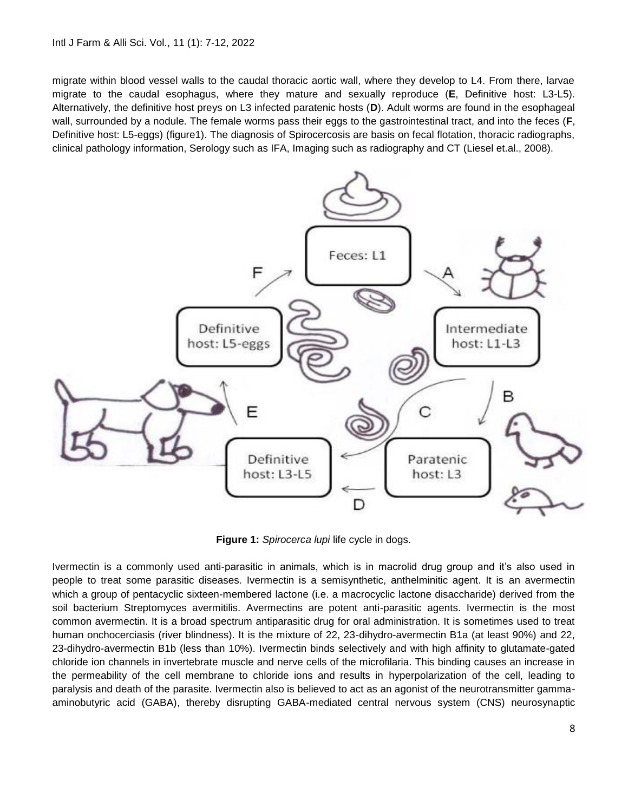#### Intl J Farm & Alli Sci. Vol., 11 (1): 7-12, 2022

migrate within blood vessel walls to the caudal thoracic aortic wall, where they develop to L4. From there, larvae migrate to the caudal esophagus, where they mature and sexually reproduce (**E**, Definitive host: L3-L5). Alternatively, the definitive host preys on L3 infected paratenic hosts (**D**). Adult worms are found in the esophageal wall, surrounded by a nodule. The female worms pass their eggs to the gastrointestinal tract, and into the feces (**F**, Definitive host: L5-eggs) (figure1). The diagnosis of Spirocercosis are basis on fecal flotation, thoracic radiographs, clinical pathology information, Serology such as IFA, Imaging such as radiography and CT (Liesel et.al., 2008).



**Figure 1:** *Spirocerca lupi* life cycle in dogs.

Ivermectin is a commonly used anti-parasitic in animals, which is in macrolid drug group and it's also used in people to treat some parasitic diseases. Ivermectin is a semisynthetic, anthelminitic agent. It is an avermectin which a group of pentacyclic sixteen-membered lactone (i.e. a macrocyclic lactone disaccharide) derived from the soil bacterium Streptomyces avermitilis. Avermectins are potent anti-parasitic agents. Ivermectin is the most common avermectin. It is a broad spectrum antiparasitic drug for oral administration. It is sometimes used to treat human onchocerciasis (river blindness). It is the mixture of 22, 23-dihydro-avermectin B1a (at least 90%) and 22, 23-dihydro-avermectin B1b (less than 10%). Ivermectin binds selectively and with high affinity to glutamate-gated chloride ion channels in invertebrate muscle and nerve cells of the microfilaria. This binding causes an increase in the permeability of the cell membrane to chloride ions and results in hyperpolarization of the cell, leading to paralysis and death of the parasite. Ivermectin also is believed to act as an agonist of the neurotransmitter gammaaminobutyric acid (GABA), thereby disrupting GABA-mediated central nervous system (CNS) neurosynaptic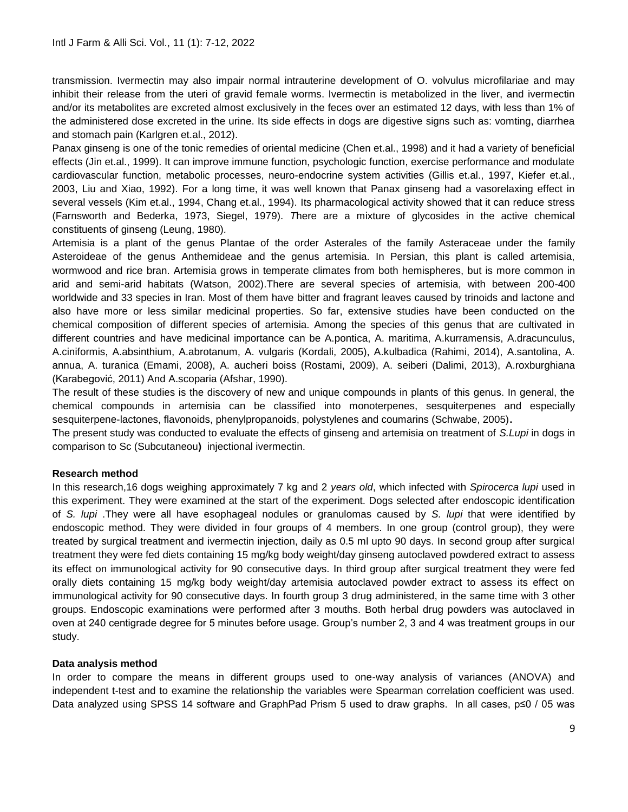transmission. Ivermectin may also impair normal intrauterine development of O. volvulus microfilariae and may inhibit their release from the uteri of gravid female worms. Ivermectin is metabolized in the liver, and ivermectin and/or its metabolites are excreted almost exclusively in the feces over an estimated 12 days, with less than 1% of the administered dose excreted in the urine. Its side effects in dogs are digestive signs such as: vomting, diarrhea and stomach pain (Karlgren et.al., 2012).

Panax ginseng is one of the tonic remedies of oriental medicine (Chen et.al., 1998) and it had a variety of beneficial effects (Jin et.al., 1999). It can improve immune function, psychologic function, exercise performance and modulate cardiovascular function, metabolic processes, neuro-endocrine system activities (Gillis et.al., 1997, Kiefer et.al., 2003, Liu and Xiao, 1992). For a long time, it was well known that Panax ginseng had a vasorelaxing effect in several vessels (Kim et.al., 1994, Chang et.al., 1994). Its pharmacological activity showed that it can reduce stress (Farnsworth and Bederka, 1973, Siegel, 1979). *T*here are a mixture of glycosides in the active chemical constituents of ginseng (Leung, 1980)*.* 

Artemisia is a plant of the genus Plantae of the order Asterales of the family Asteraceae under the family Asteroideae of the genus Anthemideae and the genus artemisia. In Persian, this plant is called artemisia, wormwood and rice bran. Artemisia grows in temperate climates from both hemispheres, but is more common in arid and semi-arid habitats (Watson, 2002).There are several species of artemisia, with between 200-400 worldwide and 33 species in Iran. Most of them have bitter and fragrant leaves caused by trinoids and lactone and also have more or less similar medicinal properties. So far, extensive studies have been conducted on the chemical composition of different species of artemisia. Among the species of this genus that are cultivated in different countries and have medicinal importance can be A.pontica, A. maritima, A.kurramensis, A.dracunculus, A.ciniformis, A.absinthium, A.abrotanum, A. vulgaris (Kordali, 2005), A.kulbadica (Rahimi, 2014), A.santolina, A. annua, A. turanica (Emami, 2008), A. aucheri boiss (Rostami, 2009), A. seiberi (Dalimi, 2013), A.roxburghiana (Karabegović, 2011) And A.scoparia (Afshar, 1990).

The result of these studies is the discovery of new and unique compounds in plants of this genus. In general, the chemical compounds in artemisia can be classified into monoterpenes, sesquiterpenes and especially sesquiterpene-lactones, flavonoids, phenylpropanoids, polystylenes and coumarins (Schwabe, 2005)**.**

The present study was conducted to evaluate the effects of ginseng and artemisia on treatment of *S.Lupi* in dogs in comparison to Sc (Subcutaneou) injectional ivermectin.

### **Research method**

In this research,16 dogs weighing approximately 7 kg and 2 *years old*, which infected with *Spirocerca lupi* used in this experiment. They were examined at the start of the experiment. Dogs selected after endoscopic identification of *S. lupi* .They were all have esophageal nodules or granulomas caused by *S. lupi* that were identified by endoscopic method. They were divided in four groups of 4 members. In one group (control group), they were treated by surgical treatment and ivermectin injection, daily as 0.5 ml upto 90 days. In second group after surgical treatment they were fed diets containing 15 mg/kg body weight/day ginseng autoclaved powdered extract to assess its effect on immunological activity for 90 consecutive days. In third group after surgical treatment they were fed orally diets containing 15 mg/kg body weight/day artemisia autoclaved powder extract to assess its effect on immunological activity for 90 consecutive days. In fourth group 3 drug administered, in the same time with 3 other groups. Endoscopic examinations were performed after 3 mouths. Both herbal drug powders was autoclaved in oven at 240 centigrade degree for 5 minutes before usage. Group's number 2, 3 and 4 was treatment groups in our study.

### **Data analysis method**

In order to compare the means in different groups used to one-way analysis of variances (ANOVA) and independent t-test and to examine the relationship the variables were Spearman correlation coefficient was used. Data analyzed using SPSS 14 software and GraphPad Prism 5 used to draw graphs. In all cases, p≤0 / 05 was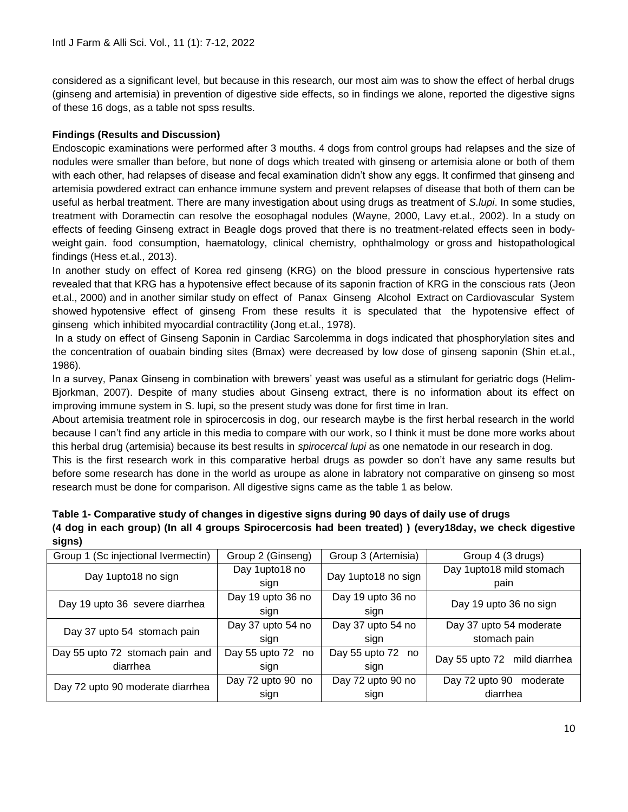considered as a significant level, but because in this research, our most aim was to show the effect of herbal drugs (ginseng and artemisia) in prevention of digestive side effects, so in findings we alone, reported the digestive signs of these 16 dogs, as a table not spss results.

### **Findings (Results and Discussion)**

Endoscopic examinations were performed after 3 mouths. 4 dogs from control groups had relapses and the size of nodules were smaller than before, but none of dogs which treated with ginseng or artemisia alone or both of them with each other, had relapses of disease and fecal examination didn't show any eggs. It confirmed that ginseng and artemisia powdered extract can enhance immune system and prevent relapses of disease that both of them can be useful as herbal treatment. There are many investigation about using drugs as treatment of *S.lupi*. In some studies, treatment with Doramectin can resolve the eosophagal nodules (Wayne, 2000, Lavy et.al., 2002). In a study on effects of feeding Ginseng extract in Beagle dogs proved that there is no treatment-related effects seen in bodyweight gain. food consumption, haematology, clinical chemistry, ophthalmology or gross and histopathological findings (Hess et.al., 2013).

In another study on effect of Korea red ginseng (KRG) on the blood pressure in conscious hypertensive rats revealed that that KRG has a hypotensive effect because of its saponin fraction of KRG in the conscious rats (Jeon et.al., 2000) and in another similar study on effect of Panax Ginseng Alcohol Extract on Cardiovascular System showed hypotensive effect of ginseng From these results it is speculated that the hypotensive effect of ginseng which inhibited myocardial contractility (Jong et.al., 1978).

In a study on effect of Ginseng Saponin in Cardiac Sarcolemma in dogs indicated that phosphorylation sites and the concentration of ouabain binding sites (Bmax) were decreased by low dose of ginseng saponin (Shin et.al., 1986).

In a survey, Panax Ginseng in combination with brewers' yeast was useful as a stimulant for geriatric dogs (Helim-Bjorkman, 2007). Despite of many studies about Ginseng extract, there is no information about its effect on improving immune system in S. lupi, so the present study was done for first time in Iran.

About artemisia treatment role in spirocercosis in dog, our research maybe is the first herbal research in the world because I can't find any article in this media to compare with our work, so I think it must be done more works about this herbal drug (artemisia) because its best results in *spirocercal lupi* as one nematode in our research in dog.

This is the first research work in this comparative herbal drugs as powder so don't have any same results but before some research has done in the world as uroupe as alone in labratory not comparative on ginseng so most research must be done for comparison. All digestive signs came as the table 1 as below.

| வதுபகர                              |                      |                     |                              |
|-------------------------------------|----------------------|---------------------|------------------------------|
| Group 1 (Sc injectional Ivermectin) | Group 2 (Ginseng)    | Group 3 (Artemisia) | Group 4 (3 drugs)            |
| Day 1upto18 no sign                 | Day 1upto18 no       | Day 1upto18 no sign | Day 1upto18 mild stomach     |
|                                     | sign                 |                     | pain                         |
| Day 19 upto 36 severe diarrhea      | Day 19 upto 36 no    | Day 19 upto 36 no   | Day 19 upto 36 no sign       |
|                                     | sign                 | sign                |                              |
| Day 37 upto 54 stomach pain         | Day 37 upto 54 no    | Day 37 upto 54 no   | Day 37 upto 54 moderate      |
|                                     | sign                 | sign                | stomach pain                 |
| Day 55 upto 72 stomach pain and     | Day 55 upto 72<br>no | Day 55 upto 72 no   | Day 55 upto 72 mild diarrhea |
| diarrhea                            | sign                 | sign                |                              |
| Day 72 upto 90 moderate diarrhea    | Day 72 upto 90 no    | Day 72 upto 90 no   | Day 72 upto 90 moderate      |
|                                     | sign                 | sign                | diarrhea                     |

| Table 1- Comparative study of changes in digestive signs during 90 days of daily use of drugs           |
|---------------------------------------------------------------------------------------------------------|
| (4 dog in each group) (In all 4 groups Spirocercosis had been treated)) (every18day, we check digestive |
| signs)                                                                                                  |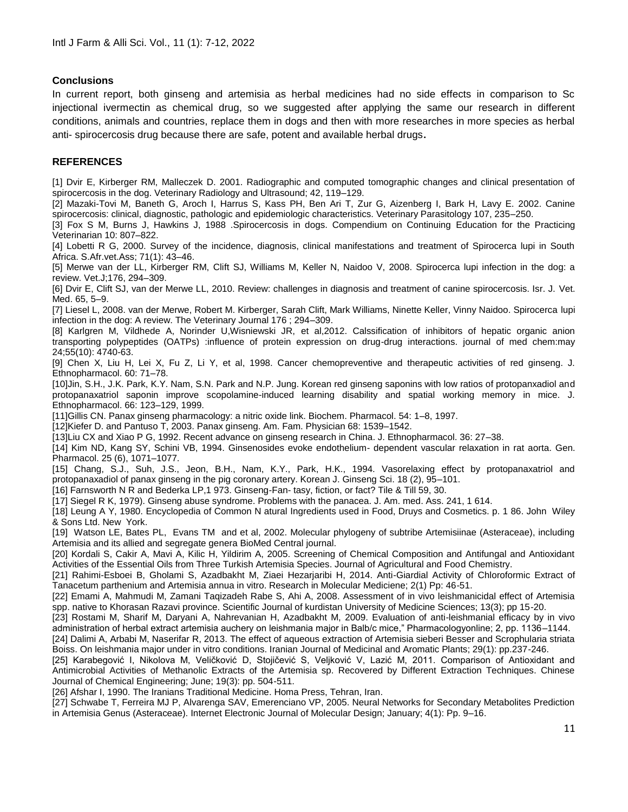#### **Conclusions**

In current report, both ginseng and artemisia as herbal medicines had no side effects in comparison to Sc injectional ivermectin as chemical drug, so we suggested after applying the same our research in different conditions, animals and countries, replace them in dogs and then with more researches in more species as herbal anti- spirocercosis drug because there are safe, potent and available herbal drugs**.**

#### **REFERENCES**

[1] Dvir E, Kirberger RM, Malleczek D. 2001. Radiographic and computed tomographic changes and clinical presentation of spirocercosis in the dog. Veterinary Radiology and Ultrasound; 42, 119–129.

[2] Mazaki-Tovi M, Baneth G, Aroch I, Harrus S, Kass PH, Ben Ari T, Zur G, Aizenberg I, Bark H, Lavy E. 2002. Canine spirocercosis: clinical, diagnostic, pathologic and epidemiologic characteristics. Veterinary Parasitology 107, 235–250.

[3] Fox S M, Burns J, Hawkins J, 1988 .Spirocercosis in dogs. Compendium on Continuing Education for the Practicing Veterinarian 10: 807–822.

[4] Lobetti R G, 2000. Survey of the incidence, diagnosis, clinical manifestations and treatment of Spirocerca lupi in South Africa. S.Afr.vet.Ass; 71(1): 43–46.

[5] Merwe van der LL, Kirberger RM, Clift SJ, Williams M, Keller N, Naidoo V, 2008. Spirocerca lupi infection in the dog: a review. Vet.J;176, 294–309.

[6] Dvir E, Clift SJ, van der Merwe LL, 2010. Review: challenges in diagnosis and treatment of canine spirocercosis. Isr. J. Vet. Med. 65, 5–9.

[7] Liesel L, 2008. van der Merwe, Robert M. Kirberger, Sarah Clift, Mark Williams, Ninette Keller, Vinny Naidoo. Spirocerca lupi infection in the dog: A review. The Veterinary Journal 176 ; 294–309.

[8] Karlgren M, Vildhede A, Norinder U,Wisniewski JR, et al,2012. Calssification of inhibitors of hepatic organic anion transporting polypeptides (OATPs) :influence of protein expression on drug-drug interactions. journal of med chem:may 24;55(10): 4740-63.

[9] Chen X, Liu H, Lei X, Fu Z, Li Y, et al, 1998. Cancer chemopreventive and therapeutic activities of red ginseng. J. Ethnopharmacol. 60: 71–78.

[10]Jin, S.H., J.K. Park, K.Y. Nam, S.N. Park and N.P. Jung. Korean red ginseng saponins with low ratios of protopanxadiol and protopanaxatriol saponin improve scopolamine-induced learning disability and spatial working memory in mice. J. Ethnopharmacol. 66: 123–129, 1999.

[11]Gillis CN. Panax ginseng pharmacology: a nitric oxide link. Biochem. Pharmacol. 54: 1–8, 1997.

[12]Kiefer D. and Pantuso T, 2003. Panax ginseng. Am. Fam. Physician 68: 1539–1542.

[13]Liu CX and Xiao P G, 1992. Recent advance on ginseng research in China. J. Ethnopharmacol. 36: 27–38.

[14] Kim ND, Kang SY, Schini VB, 1994. Ginsenosides evoke endothelium- dependent vascular relaxation in rat aorta. Gen. Pharmacol. 25 (6), 1071–1077.

[15] Chang, S.J., Suh, J.S., Jeon, B.H., Nam, K.Y., Park, H.K., 1994. Vasorelaxing effect by protopanaxatriol and protopanaxadiol of panax ginseng in the pig coronary artery. Korean J. Ginseng Sci. 18 (2), 95–101.

[16] Farnsworth N R and Bederka LP,1 973. Ginseng-Fan- tasy, fiction, or fact? Tile & Till 59, 30.

[17] Siegel R K, 1979). Ginseng abuse syndrome. Problems with the panacea. J. Am. med. Ass. 241, 1 614.

[18] Leung A Y, 1980. Encyclopedia of Common N atural Ingredients used in Food, Druys and Cosmetics. p. 1 86. John Wiley & Sons Ltd. New York.

[19] Watson LE, Bates PL, Evans TM and et al, 2002. Molecular phylogeny of subtribe Artemisiinae (Asteraceae), including Artemisia and its allied and segregate genera BioMed Central journal.

[20] Kordali S, Cakir A, Mavi A, Kilic H, Yildirim A, 2005. Screening of Chemical Composition and Antifungal and Antioxidant Activities of the Essential Oils from Three Turkish Artemisia Species. Journal of Agricultural and Food Chemistry.

[21] Rahimi-Esboei B, Gholami S, Azadbakht M, Ziaei Hezarjaribi H, 2014. Anti-Giardial Activity of Chloroformic Extract of Tanacetum parthenium and Artemisia annua in vitro. Research in Molecular Mediciene; 2(1) Pp: 46-51.

[22] Emami A, Mahmudi M, Zamani Taqizadeh Rabe S, Ahi A, 2008. Assessment of in vivo leishmanicidal effect of Artemisia spp. native to Khorasan Razavi province. Scientific Journal of kurdistan University of Medicine Sciences; 13(3); pp 15-20.

[23] Rostami M, Sharif M, Daryani A, Nahrevanian H, Azadbakht M, 2009. Evaluation of anti-leishmanial efficacy by in vivo administration of herbal extract artemisia auchery on leishmania major in Balb/c mice," Pharmacologyonline; 2, pp. 1136–1144. [24] Dalimi A, Arbabi M, Naserifar R, 2013. The effect of aqueous extraction of Artemisia sieberi Besser and Scrophularia striata

Boiss. On leishmania major under in vitro conditions. Iranian Journal of Medicinal and Aromatic Plants; 29(1): pp.237-246.

[25] Karabegović I, Nikolova M, Veličković D, Stojičević S, Veljković V, Lazić M, 2011. Comparison of Antioxidant and Antimicrobial Activities of Methanolic Extracts of the Artemisia sp. Recovered by Different Extraction Techniques. Chinese Journal of Chemical Engineering; June; 19(3): pp. 504-511.

[26] Afshar I, 1990. The Iranians Traditional Medicine. Homa Press, Tehran, Iran.

[27] Schwabe T, Ferreira MJ P, Alvarenga SAV, Emerenciano VP, 2005. Neural Networks for Secondary Metabolites Prediction in Artemisia Genus (Asteraceae). Internet Electronic Journal of Molecular Design; January; 4(1): Pp. 9–16.